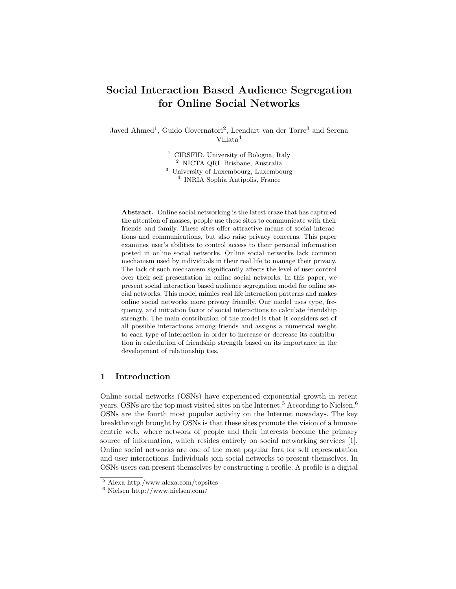# Social Interaction Based Audience Segregation for Online Social Networks

Javed Ahmed<sup>1</sup>, Guido Governatori<sup>2</sup>, Leendart van der Torre<sup>3</sup> and Serena Villata<sup>4</sup>

> <sup>1</sup> CIRSFID, University of Bologna, Italy NICTA QRL Brisbane, Australia University of Luxembourg, Luxembourg INRIA Sophia Antipolis, France

Abstract. Online social networking is the latest craze that has captured the attention of masses, people use these sites to communicate with their friends and family. These sites offer attractive means of social interactions and communications, but also raise privacy concerns. This paper examines user's abilities to control access to their personal information posted in online social networks. Online social networks lack common mechanism used by individuals in their real life to manage their privacy. The lack of such mechanism significantly affects the level of user control over their self presentation in online social networks. In this paper, we present social interaction based audience segregation model for online social networks. This model mimics real life interaction patterns and makes online social networks more privacy friendly. Our model uses type, frequency, and initiation factor of social interactions to calculate friendship strength. The main contribution of the model is that it considers set of all possible interactions among friends and assigns a numerical weight to each type of interaction in order to increase or decrease its contribution in calculation of friendship strength based on its importance in the development of relationship ties.

### 1 Introduction

Online social networks (OSNs) have experienced exponential growth in recent years. OSNs are the top most visited sites on the Internet.<sup>5</sup> According to Nielsen,<sup>6</sup> OSNs are the fourth most popular activity on the Internet nowadays. The key breakthrough brought by OSNs is that these sites promote the vision of a humancentric web, where network of people and their interests become the primary source of information, which resides entirely on social networking services [1]. Online social networks are one of the most popular fora for self representation and user interactions. Individuals join social networks to present themselves. In OSNs users can present themselves by constructing a profile. A profile is a digital

<sup>5</sup> Alexa http:/www.alexa.com/topsites

<sup>6</sup> Nielsen http://www.nielsen.com/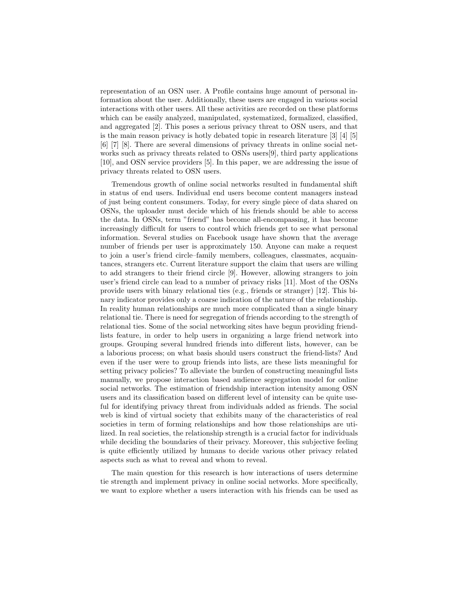representation of an OSN user. A Profile contains huge amount of personal information about the user. Additionally, these users are engaged in various social interactions with other users. All these activities are recorded on these platforms which can be easily analyzed, manipulated, systematized, formalized, classified, and aggregated [2]. This poses a serious privacy threat to OSN users, and that is the main reason privacy is hotly debated topic in research literature [3] [4] [5] [6] [7] [8]. There are several dimensions of privacy threats in online social networks such as privacy threats related to OSNs users[9], third party applications [10], and OSN service providers [5]. In this paper, we are addressing the issue of privacy threats related to OSN users.

Tremendous growth of online social networks resulted in fundamental shift in status of end users. Individual end users become content managers instead of just being content consumers. Today, for every single piece of data shared on OSNs, the uploader must decide which of his friends should be able to access the data. In OSNs, term "friend" has become all-encompassing, it has become increasingly difficult for users to control which friends get to see what personal information. Several studies on Facebook usage have shown that the average number of friends per user is approximately 150. Anyone can make a request to join a user's friend circle–family members, colleagues, classmates, acquaintances, strangers etc. Current literature support the claim that users are willing to add strangers to their friend circle [9]. However, allowing strangers to join user's friend circle can lead to a number of privacy risks [11]. Most of the OSNs provide users with binary relational ties (e.g., friends or stranger) [12]. This binary indicator provides only a coarse indication of the nature of the relationship. In reality human relationships are much more complicated than a single binary relational tie. There is need for segregation of friends according to the strength of relational ties. Some of the social networking sites have begun providing friendlists feature, in order to help users in organizing a large friend network into groups. Grouping several hundred friends into different lists, however, can be a laborious process; on what basis should users construct the friend-lists? And even if the user were to group friends into lists, are these lists meaningful for setting privacy policies? To alleviate the burden of constructing meaningful lists manually, we propose interaction based audience segregation model for online social networks. The estimation of friendship interaction intensity among OSN users and its classification based on different level of intensity can be quite useful for identifying privacy threat from individuals added as friends. The social web is kind of virtual society that exhibits many of the characteristics of real societies in term of forming relationships and how those relationships are utilized. In real societies, the relationship strength is a crucial factor for individuals while deciding the boundaries of their privacy. Moreover, this subjective feeling is quite efficiently utilized by humans to decide various other privacy related aspects such as what to reveal and whom to reveal.

The main question for this research is how interactions of users determine tie strength and implement privacy in online social networks. More specifically, we want to explore whether a users interaction with his friends can be used as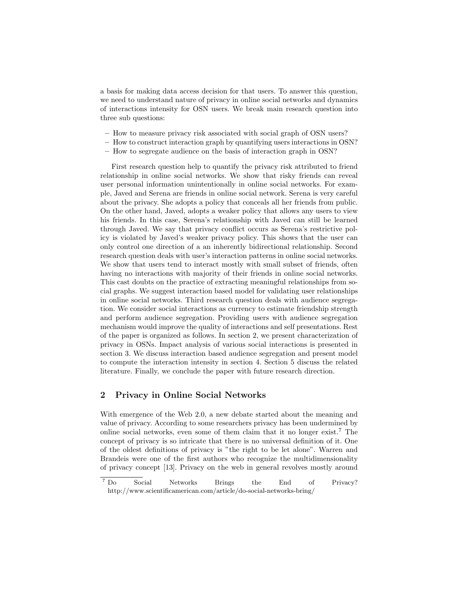a basis for making data access decision for that users. To answer this question, we need to understand nature of privacy in online social networks and dynamics of interactions intensity for OSN users. We break main research question into three sub questions:

- How to measure privacy risk associated with social graph of OSN users?
- How to construct interaction graph by quantifying users interactions in OSN?
- How to segregate audience on the basis of interaction graph in OSN?

First research question help to quantify the privacy risk attributed to friend relationship in online social networks. We show that risky friends can reveal user personal information unintentionally in online social networks. For example, Javed and Serena are friends in online social network. Serena is very careful about the privacy. She adopts a policy that conceals all her friends from public. On the other hand, Javed, adopts a weaker policy that allows any users to view his friends. In this case, Serena's relationship with Javed can still be learned through Javed. We say that privacy conflict occurs as Serena's restrictive policy is violated by Javed's weaker privacy policy. This shows that the user can only control one direction of a an inherently bidirectional relationship. Second research question deals with user's interaction patterns in online social networks. We show that users tend to interact mostly with small subset of friends, often having no interactions with majority of their friends in online social networks. This cast doubts on the practice of extracting meaningful relationships from social graphs. We suggest interaction based model for validating user relationships in online social networks. Third research question deals with audience segregation. We consider social interactions as currency to estimate friendship strength and perform audience segregation. Providing users with audience segregation mechanism would improve the quality of interactions and self presentations. Rest of the paper is organized as follows. In section 2, we present characterization of privacy in OSNs. Impact analysis of various social interactions is presented in section 3. We discuss interaction based audience segregation and present model to compute the interaction intensity in section 4. Section 5 discuss the related literature. Finally, we conclude the paper with future research direction.

#### 2 Privacy in Online Social Networks

With emergence of the Web 2.0, a new debate started about the meaning and value of privacy. According to some researchers privacy has been undermined by online social networks, even some of them claim that it no longer exist.<sup>7</sup> The concept of privacy is so intricate that there is no universal definition of it. One of the oldest definitions of privacy is "the right to be let alone". Warren and Brandeis were one of the first authors who recognize the multidimensionality of privacy concept [13]. Privacy on the web in general revolves mostly around

<sup>7</sup> Do Social Networks Brings the End of Privacy? http://www.scientificamerican.com/article/do-social-networks-bring/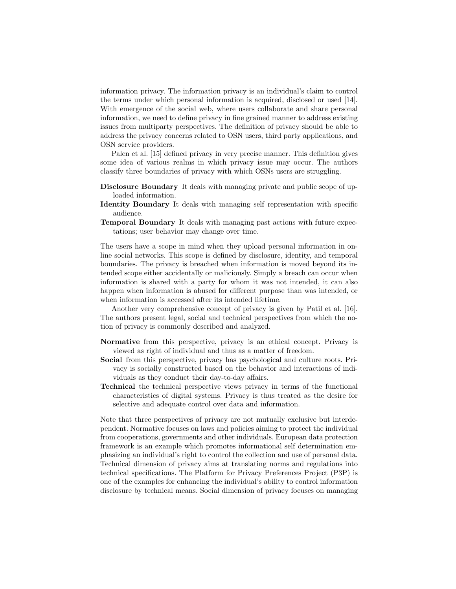information privacy. The information privacy is an individual's claim to control the terms under which personal information is acquired, disclosed or used [14]. With emergence of the social web, where users collaborate and share personal information, we need to define privacy in fine grained manner to address existing issues from multiparty perspectives. The definition of privacy should be able to address the privacy concerns related to OSN users, third party applications, and OSN service providers.

Palen et al. [15] defined privacy in very precise manner. This definition gives some idea of various realms in which privacy issue may occur. The authors classify three boundaries of privacy with which OSNs users are struggling.

- Disclosure Boundary It deals with managing private and public scope of uploaded information.
- Identity Boundary It deals with managing self representation with specific audience.
- Temporal Boundary It deals with managing past actions with future expectations; user behavior may change over time.

The users have a scope in mind when they upload personal information in online social networks. This scope is defined by disclosure, identity, and temporal boundaries. The privacy is breached when information is moved beyond its intended scope either accidentally or maliciously. Simply a breach can occur when information is shared with a party for whom it was not intended, it can also happen when information is abused for different purpose than was intended, or when information is accessed after its intended lifetime.

Another very comprehensive concept of privacy is given by Patil et al. [16]. The authors present legal, social and technical perspectives from which the notion of privacy is commonly described and analyzed.

- Normative from this perspective, privacy is an ethical concept. Privacy is viewed as right of individual and thus as a matter of freedom.
- Social from this perspective, privacy has psychological and culture roots. Privacy is socially constructed based on the behavior and interactions of individuals as they conduct their day-to-day affairs.
- Technical the technical perspective views privacy in terms of the functional characteristics of digital systems. Privacy is thus treated as the desire for selective and adequate control over data and information.

Note that three perspectives of privacy are not mutually exclusive but interdependent. Normative focuses on laws and policies aiming to protect the individual from cooperations, governments and other individuals. European data protection framework is an example which promotes informational self determination emphasizing an individual's right to control the collection and use of personal data. Technical dimension of privacy aims at translating norms and regulations into technical specifications. The Platform for Privacy Preferences Project (P3P) is one of the examples for enhancing the individual's ability to control information disclosure by technical means. Social dimension of privacy focuses on managing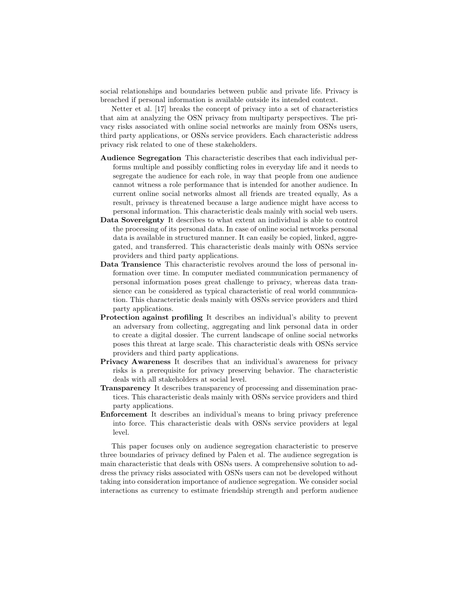social relationships and boundaries between public and private life. Privacy is breached if personal information is available outside its intended context.

Netter et al. [17] breaks the concept of privacy into a set of characteristics that aim at analyzing the OSN privacy from multiparty perspectives. The privacy risks associated with online social networks are mainly from OSNs users, third party applications, or OSNs service providers. Each characteristic address privacy risk related to one of these stakeholders.

- Audience Segregation This characteristic describes that each individual performs multiple and possibly conflicting roles in everyday life and it needs to segregate the audience for each role, in way that people from one audience cannot witness a role performance that is intended for another audience. In current online social networks almost all friends are treated equally, As a result, privacy is threatened because a large audience might have access to personal information. This characteristic deals mainly with social web users.
- Data Sovereignty It describes to what extent an individual is able to control the processing of its personal data. In case of online social networks personal data is available in structured manner. It can easily be copied, linked, aggregated, and transferred. This characteristic deals mainly with OSNs service providers and third party applications.
- Data Transience This characteristic revolves around the loss of personal information over time. In computer mediated communication permanency of personal information poses great challenge to privacy, whereas data transience can be considered as typical characteristic of real world communication. This characteristic deals mainly with OSNs service providers and third party applications.
- Protection against profiling It describes an individual's ability to prevent an adversary from collecting, aggregating and link personal data in order to create a digital dossier. The current landscape of online social networks poses this threat at large scale. This characteristic deals with OSNs service providers and third party applications.
- Privacy Awareness It describes that an individual's awareness for privacy risks is a prerequisite for privacy preserving behavior. The characteristic deals with all stakeholders at social level.
- Transparency It describes transparency of processing and dissemination practices. This characteristic deals mainly with OSNs service providers and third party applications.
- Enforcement It describes an individual's means to bring privacy preference into force. This characteristic deals with OSNs service providers at legal level.

This paper focuses only on audience segregation characteristic to preserve three boundaries of privacy defined by Palen et al. The audience segregation is main characteristic that deals with OSNs users. A comprehensive solution to address the privacy risks associated with OSNs users can not be developed without taking into consideration importance of audience segregation. We consider social interactions as currency to estimate friendship strength and perform audience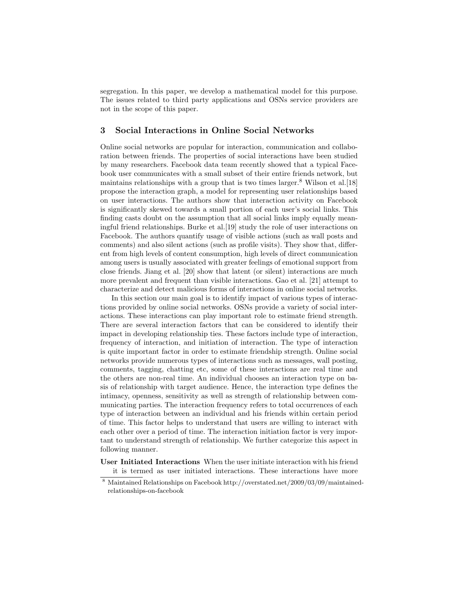segregation. In this paper, we develop a mathematical model for this purpose. The issues related to third party applications and OSNs service providers are not in the scope of this paper.

## 3 Social Interactions in Online Social Networks

Online social networks are popular for interaction, communication and collaboration between friends. The properties of social interactions have been studied by many researchers. Facebook data team recently showed that a typical Facebook user communicates with a small subset of their entire friends network, but maintains relationships with a group that is two times larger.<sup>8</sup> Wilson et al.[18] propose the interaction graph, a model for representing user relationships based on user interactions. The authors show that interaction activity on Facebook is significantly skewed towards a small portion of each user's social links. This finding casts doubt on the assumption that all social links imply equally meaningful friend relationships. Burke et al.[19] study the role of user interactions on Facebook. The authors quantify usage of visible actions (such as wall posts and comments) and also silent actions (such as profile visits). They show that, different from high levels of content consumption, high levels of direct communication among users is usually associated with greater feelings of emotional support from close friends. Jiang et al. [20] show that latent (or silent) interactions are much more prevalent and frequent than visible interactions. Gao et al. [21] attempt to characterize and detect malicious forms of interactions in online social networks.

In this section our main goal is to identify impact of various types of interactions provided by online social networks. OSNs provide a variety of social interactions. These interactions can play important role to estimate friend strength. There are several interaction factors that can be considered to identify their impact in developing relationship ties. These factors include type of interaction, frequency of interaction, and initiation of interaction. The type of interaction is quite important factor in order to estimate friendship strength. Online social networks provide numerous types of interactions such as messages, wall posting, comments, tagging, chatting etc, some of these interactions are real time and the others are non-real time. An individual chooses an interaction type on basis of relationship with target audience. Hence, the interaction type defines the intimacy, openness, sensitivity as well as strength of relationship between communicating parties. The interaction frequency refers to total occurrences of each type of interaction between an individual and his friends within certain period of time. This factor helps to understand that users are willing to interact with each other over a period of time. The interaction initiation factor is very important to understand strength of relationship. We further categorize this aspect in following manner.

User Initiated Interactions When the user initiate interaction with his friend it is termed as user initiated interactions. These interactions have more

<sup>8</sup> Maintained Relationships on Facebook http://overstated.net/2009/03/09/maintainedrelationships-on-facebook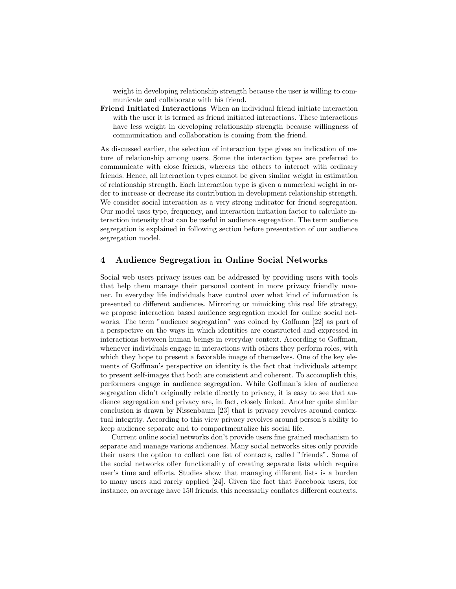weight in developing relationship strength because the user is willing to communicate and collaborate with his friend.

Friend Initiated Interactions When an individual friend initiate interaction with the user it is termed as friend initiated interactions. These interactions have less weight in developing relationship strength because willingness of communication and collaboration is coming from the friend.

As discussed earlier, the selection of interaction type gives an indication of nature of relationship among users. Some the interaction types are preferred to communicate with close friends, whereas the others to interact with ordinary friends. Hence, all interaction types cannot be given similar weight in estimation of relationship strength. Each interaction type is given a numerical weight in order to increase or decrease its contribution in development relationship strength. We consider social interaction as a very strong indicator for friend segregation. Our model uses type, frequency, and interaction initiation factor to calculate interaction intensity that can be useful in audience segregation. The term audience segregation is explained in following section before presentation of our audience segregation model.

#### 4 Audience Segregation in Online Social Networks

Social web users privacy issues can be addressed by providing users with tools that help them manage their personal content in more privacy friendly manner. In everyday life individuals have control over what kind of information is presented to different audiences. Mirroring or mimicking this real life strategy, we propose interaction based audience segregation model for online social networks. The term "audience segregation" was coined by Goffman [22] as part of a perspective on the ways in which identities are constructed and expressed in interactions between human beings in everyday context. According to Goffman, whenever individuals engage in interactions with others they perform roles, with which they hope to present a favorable image of themselves. One of the key elements of Goffman's perspective on identity is the fact that individuals attempt to present self-images that both are consistent and coherent. To accomplish this, performers engage in audience segregation. While Goffman's idea of audience segregation didn't originally relate directly to privacy, it is easy to see that audience segregation and privacy are, in fact, closely linked. Another quite similar conclusion is drawn by Nissenbaum [23] that is privacy revolves around contextual integrity. According to this view privacy revolves around person's ability to keep audience separate and to compartmentalize his social life.

Current online social networks don't provide users fine grained mechanism to separate and manage various audiences. Many social networks sites only provide their users the option to collect one list of contacts, called "friends". Some of the social networks offer functionality of creating separate lists which require user's time and efforts. Studies show that managing different lists is a burden to many users and rarely applied [24]. Given the fact that Facebook users, for instance, on average have 150 friends, this necessarily conflates different contexts.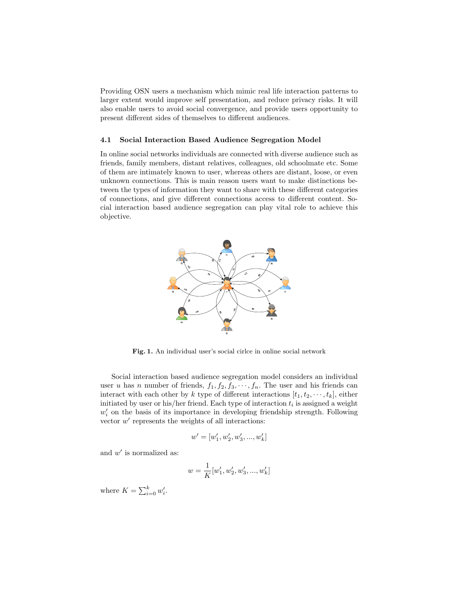Providing OSN users a mechanism which mimic real life interaction patterns to larger extent would improve self presentation, and reduce privacy risks. It will also enable users to avoid social convergence, and provide users opportunity to present different sides of themselves to different audiences.

#### 4.1 Social Interaction Based Audience Segregation Model

In online social networks individuals are connected with diverse audience such as friends, family members, distant relatives, colleagues, old schoolmate etc. Some of them are intimately known to user, whereas others are distant, loose, or even unknown connections. This is main reason users want to make distinctions between the types of information they want to share with these different categories of connections, and give different connections access to different content. Social interaction based audience segregation can play vital role to achieve this objective.



Fig. 1. An individual user's social cirlce in online social network

Social interaction based audience segregation model considers an individual user u has n number of friends,  $f_1, f_2, f_3, \dots, f_n$ . The user and his friends can interact with each other by k type of different interactions  $[t_1, t_2, \dots, t_k]$ , either initiated by user or his/her friend. Each type of interaction  $t_i$  is assigned a weight  $w_i'$  on the basis of its importance in developing friendship strength. Following vector  $w'$  represents the weights of all interactions:

$$
w^{\prime} = [w_1^{\prime}, w_2^{\prime}, w_3^{\prime}, ..., w_k^{\prime}]
$$

and  $w'$  is normalized as:

$$
w = \frac{1}{K}[w'_1, w'_2, w'_3, ..., w'_k]
$$

where  $K = \sum_{i=0}^{k} w'_i$ .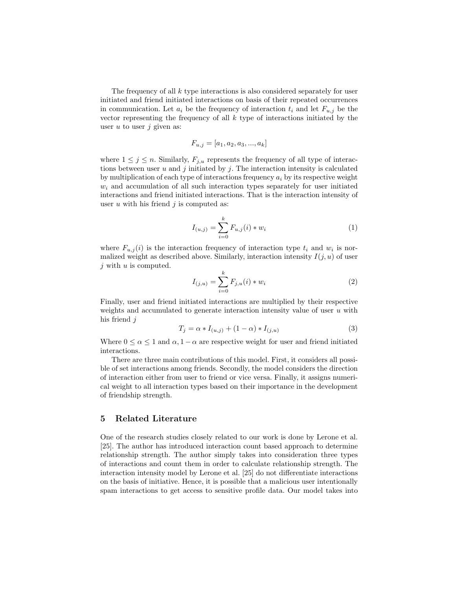The frequency of all k type interactions is also considered separately for user initiated and friend initiated interactions on basis of their repeated occurrences in communication. Let  $a_i$  be the frequency of interaction  $t_i$  and let  $F_{u,j}$  be the vector representing the frequency of all  $k$  type of interactions initiated by the user  $u$  to user  $j$  given as:

$$
F_{u,j} = [a_1, a_2, a_3, ..., a_k]
$$

where  $1 \leq j \leq n$ . Similarly,  $F_{j,u}$  represents the frequency of all type of interactions between user u and j initiated by j. The interaction intensity is calculated by multiplication of each type of interactions frequency  $a_i$  by its respective weight  $w_i$  and accumulation of all such interaction types separately for user initiated interactions and friend initiated interactions. That is the interaction intensity of user  $u$  with his friend  $j$  is computed as:

$$
I_{(u,j)} = \sum_{i=0}^{k} F_{u,j}(i) * w_i
$$
 (1)

where  $F_{u,j}(i)$  is the interaction frequency of interaction type  $t_i$  and  $w_i$  is normalized weight as described above. Similarly, interaction intensity  $I(j, u)$  of user  $j$  with  $u$  is computed.

$$
I_{(j,u)} = \sum_{i=0}^{k} F_{j,u}(i) * w_i
$$
 (2)

Finally, user and friend initiated interactions are multiplied by their respective weights and accumulated to generate interaction intensity value of user  $u$  with his friend j

$$
T_j = \alpha * I_{(u,j)} + (1 - \alpha) * I_{(j,u)}
$$
\n(3)

Where  $0 \le \alpha \le 1$  and  $\alpha$ ,  $1 - \alpha$  are respective weight for user and friend initiated interactions.

There are three main contributions of this model. First, it considers all possible of set interactions among friends. Secondly, the model considers the direction of interaction either from user to friend or vice versa. Finally, it assigns numerical weight to all interaction types based on their importance in the development of friendship strength.

#### 5 Related Literature

One of the research studies closely related to our work is done by Lerone et al. [25]. The author has introduced interaction count based approach to determine relationship strength. The author simply takes into consideration three types of interactions and count them in order to calculate relationship strength. The interaction intensity model by Lerone et al. [25] do not differentiate interactions on the basis of initiative. Hence, it is possible that a malicious user intentionally spam interactions to get access to sensitive profile data. Our model takes into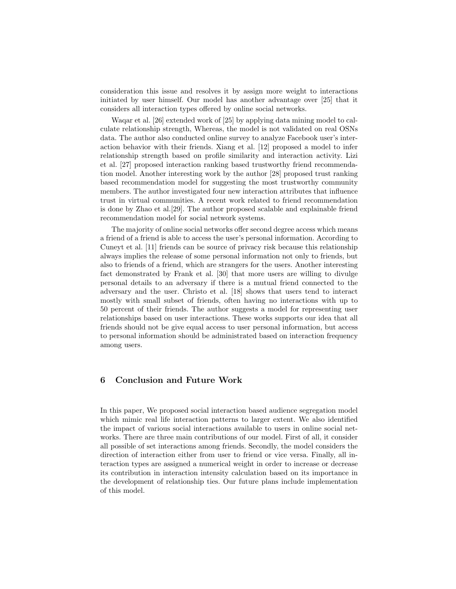consideration this issue and resolves it by assign more weight to interactions initiated by user himself. Our model has another advantage over [25] that it considers all interaction types offered by online social networks.

Waqar et al. [26] extended work of [25] by applying data mining model to calculate relationship strength, Whereas, the model is not validated on real OSNs data. The author also conducted online survey to analyze Facebook user's interaction behavior with their friends. Xiang et al. [12] proposed a model to infer relationship strength based on profile similarity and interaction activity. Lizi et al. [27] proposed interaction ranking based trustworthy friend recommendation model. Another interesting work by the author [28] proposed trust ranking based recommendation model for suggesting the most trustworthy community members. The author investigated four new interaction attributes that influence trust in virtual communities. A recent work related to friend recommendation is done by Zhao et al.[29]. The author proposed scalable and explainable friend recommendation model for social network systems.

The majority of online social networks offer second degree access which means a friend of a friend is able to access the user's personal information. According to Cuneyt et al. [11] friends can be source of privacy risk because this relationship always implies the release of some personal information not only to friends, but also to friends of a friend, which are strangers for the users. Another interesting fact demonstrated by Frank et al. [30] that more users are willing to divulge personal details to an adversary if there is a mutual friend connected to the adversary and the user. Christo et al. [18] shows that users tend to interact mostly with small subset of friends, often having no interactions with up to 50 percent of their friends. The author suggests a model for representing user relationships based on user interactions. These works supports our idea that all friends should not be give equal access to user personal information, but access to personal information should be administrated based on interaction frequency among users.

# 6 Conclusion and Future Work

In this paper, We proposed social interaction based audience segregation model which mimic real life interaction patterns to larger extent. We also identified the impact of various social interactions available to users in online social networks. There are three main contributions of our model. First of all, it consider all possible of set interactions among friends. Secondly, the model considers the direction of interaction either from user to friend or vice versa. Finally, all interaction types are assigned a numerical weight in order to increase or decrease its contribution in interaction intensity calculation based on its importance in the development of relationship ties. Our future plans include implementation of this model.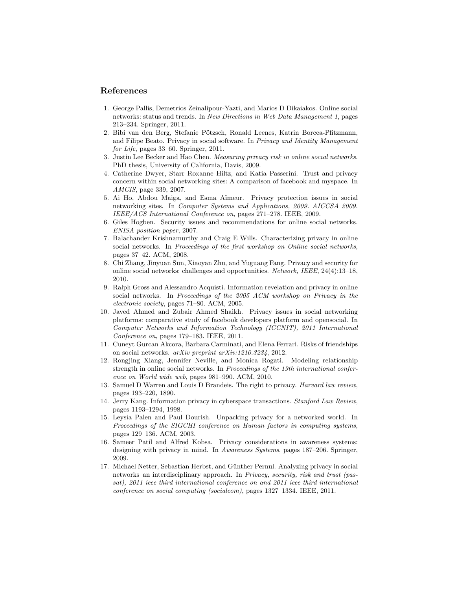#### References

- 1. George Pallis, Demetrios Zeinalipour-Yazti, and Marios D Dikaiakos. Online social networks: status and trends. In New Directions in Web Data Management 1, pages 213–234. Springer, 2011.
- 2. Bibi van den Berg, Stefanie Pötzsch, Ronald Leenes, Katrin Borcea-Pfitzmann, and Filipe Beato. Privacy in social software. In Privacy and Identity Management for Life, pages 33–60. Springer, 2011.
- 3. Justin Lee Becker and Hao Chen. Measuring privacy risk in online social networks. PhD thesis, University of California, Davis, 2009.
- 4. Catherine Dwyer, Starr Roxanne Hiltz, and Katia Passerini. Trust and privacy concern within social networking sites: A comparison of facebook and myspace. In AMCIS, page 339, 2007.
- 5. Ai Ho, Abdou Maiga, and Esma A¨ımeur. Privacy protection issues in social networking sites. In Computer Systems and Applications, 2009. AICCSA 2009. IEEE/ACS International Conference on, pages 271–278. IEEE, 2009.
- 6. Giles Hogben. Security issues and recommendations for online social networks. ENISA position paper, 2007.
- 7. Balachander Krishnamurthy and Craig E Wills. Characterizing privacy in online social networks. In Proceedings of the first workshop on Online social networks, pages 37–42. ACM, 2008.
- 8. Chi Zhang, Jinyuan Sun, Xiaoyan Zhu, and Yuguang Fang. Privacy and security for online social networks: challenges and opportunities. Network, IEEE, 24(4):13–18, 2010.
- 9. Ralph Gross and Alessandro Acquisti. Information revelation and privacy in online social networks. In Proceedings of the 2005 ACM workshop on Privacy in the electronic society, pages 71–80. ACM, 2005.
- 10. Javed Ahmed and Zubair Ahmed Shaikh. Privacy issues in social networking platforms: comparative study of facebook developers platform and opensocial. In Computer Networks and Information Technology (ICCNIT), 2011 International Conference on, pages 179–183. IEEE, 2011.
- 11. Cuneyt Gurcan Akcora, Barbara Carminati, and Elena Ferrari. Risks of friendships on social networks. arXiv preprint arXiv:1210.3234, 2012.
- 12. Rongjing Xiang, Jennifer Neville, and Monica Rogati. Modeling relationship strength in online social networks. In Proceedings of the 19th international conference on World wide web, pages 981–990. ACM, 2010.
- 13. Samuel D Warren and Louis D Brandeis. The right to privacy. Harvard law review, pages 193–220, 1890.
- 14. Jerry Kang. Information privacy in cyberspace transactions. Stanford Law Review, pages 1193–1294, 1998.
- 15. Leysia Palen and Paul Dourish. Unpacking privacy for a networked world. In Proceedings of the SIGCHI conference on Human factors in computing systems, pages 129–136. ACM, 2003.
- 16. Sameer Patil and Alfred Kobsa. Privacy considerations in awareness systems: designing with privacy in mind. In Awareness Systems, pages 187–206. Springer, 2009.
- 17. Michael Netter, Sebastian Herbst, and G¨unther Pernul. Analyzing privacy in social networks–an interdisciplinary approach. In Privacy, security, risk and trust (passat), 2011 ieee third international conference on and 2011 ieee third international conference on social computing (socialcom), pages 1327–1334. IEEE, 2011.